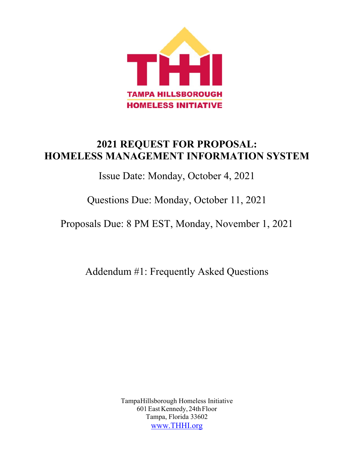

## **2021 REQUEST FOR PROPOSAL: HOMELESS MANAGEMENT INFORMATION SYSTEM**

Issue Date: Monday, October 4, 2021

Questions Due: Monday, October 11, 2021

Proposals Due: 8 PM EST, Monday, November 1, 2021

Addendum #1: Frequently Asked Questions

Tampa Hillsborough Homeless Initiative 601 East Kennedy, 24th Floor Tampa, Florida 33602 www.THHI.org